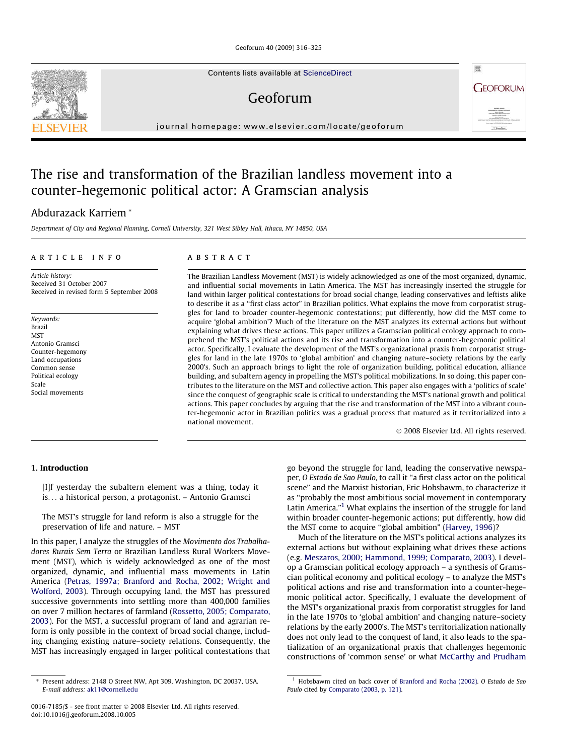Geoforum 40 (2009) 316–325

Contents lists available at [ScienceDirect](http://www.sciencedirect.com/science/journal/00167185)

# Geoforum

journal homepage: [www.elsevier.com/locate/geoforum](http://www.elsevier.com/locate/geoforum)

## The rise and transformation of the Brazilian landless movement into a counter-hegemonic political actor: A Gramscian analysis

## Abdurazack Karriem \*

Department of City and Regional Planning, Cornell University, 321 West Sibley Hall, Ithaca, NY 14850, USA

#### article info

## **ABSTRACT**

Article history: Received 31 October 2007 Received in revised form 5 September 2008

Keywords: Brazil **MST** Antonio Gramsci Counter-hegemony Land occupations Common sense Political ecology Scale Social movements

The Brazilian Landless Movement (MST) is widely acknowledged as one of the most organized, dynamic, and influential social movements in Latin America. The MST has increasingly inserted the struggle for land within larger political contestations for broad social change, leading conservatives and leftists alike to describe it as a ''first class actor" in Brazilian politics. What explains the move from corporatist struggles for land to broader counter-hegemonic contestations; put differently, how did the MST come to acquire 'global ambition'? Much of the literature on the MST analyzes its external actions but without explaining what drives these actions. This paper utilizes a Gramscian political ecology approach to comprehend the MST's political actions and its rise and transformation into a counter-hegemonic political actor. Specifically, I evaluate the development of the MST's organizational praxis from corporatist struggles for land in the late 1970s to 'global ambition' and changing nature–society relations by the early 2000's. Such an approach brings to light the role of organization building, political education, alliance building, and subaltern agency in propelling the MST's political mobilizations. In so doing, this paper contributes to the literature on the MST and collective action. This paper also engages with a 'politics of scale' since the conquest of geographic scale is critical to understanding the MST's national growth and political actions. This paper concludes by arguing that the rise and transformation of the MST into a vibrant counter-hegemonic actor in Brazilian politics was a gradual process that matured as it territorialized into a national movement.

- 2008 Elsevier Ltd. All rights reserved.

## 1. Introduction

[I]f yesterday the subaltern element was a thing, today it is... a historical person, a protagonist. – Antonio Gramsci

The MST's struggle for land reform is also a struggle for the preservation of life and nature. – MST

In this paper, I analyze the struggles of the Movimento dos Trabalhadores Rurais Sem Terra or Brazilian Landless Rural Workers Movement (MST), which is widely acknowledged as one of the most organized, dynamic, and influential mass movements in Latin America ([Petras, 1997a; Branford and Rocha, 2002; Wright and](#page-9-0) [Wolford, 2003\)](#page-9-0). Through occupying land, the MST has pressured successive governments into settling more than 400,000 families on over 7 million hectares of farmland [\(Rossetto, 2005; Comparato,](#page-9-0) [2003](#page-9-0)). For the MST, a successful program of land and agrarian reform is only possible in the context of broad social change, including changing existing nature–society relations. Consequently, the MST has increasingly engaged in larger political contestations that go beyond the struggle for land, leading the conservative newspaper, O Estado de Sao Paulo, to call it ''a first class actor on the political scene" and the Marxist historian, Eric Hobsbawm, to characterize it as ''probably the most ambitious social movement in contemporary Latin America."<sup>1</sup> What explains the insertion of the struggle for land within broader counter-hegemonic actions; put differently, how did the MST come to acquire ''global ambition" [\(Harvey, 1996\)](#page-8-0)?

Much of the literature on the MST's political actions analyzes its external actions but without explaining what drives these actions (e.g. [Meszaros, 2000; Hammond, 1999; Comparato, 2003\)](#page-8-0). I develop a Gramscian political ecology approach – a synthesis of Gramscian political economy and political ecology – to analyze the MST's political actions and rise and transformation into a counter-hegemonic political actor. Specifically, I evaluate the development of the MST's organizational praxis from corporatist struggles for land in the late 1970s to 'global ambition' and changing nature–society relations by the early 2000's. The MST's territorialization nationally does not only lead to the conquest of land, it also leads to the spatialization of an organizational praxis that challenges hegemonic constructions of 'common sense' or what [McCarthy and Prudham](#page-8-0)

<span id="page-0-0"></span>



<sup>\*</sup> Present address: 2148 O Street NW, Apt 309, Washington, DC 20037, USA. E-mail address: [ak11@cornell.edu](mailto:ak11@cornell.edu)

<sup>&</sup>lt;sup>1</sup> Hobsbawm cited on back cover of [Branford and Rocha \(2002\)](#page-8-0). O Estado de Sao Paulo cited by [Comparato \(2003, p. 121\).](#page-8-0)

<sup>0016-7185/\$ -</sup> see front matter © 2008 Elsevier Ltd. All rights reserved. doi:10.1016/j.geoforum.2008.10.005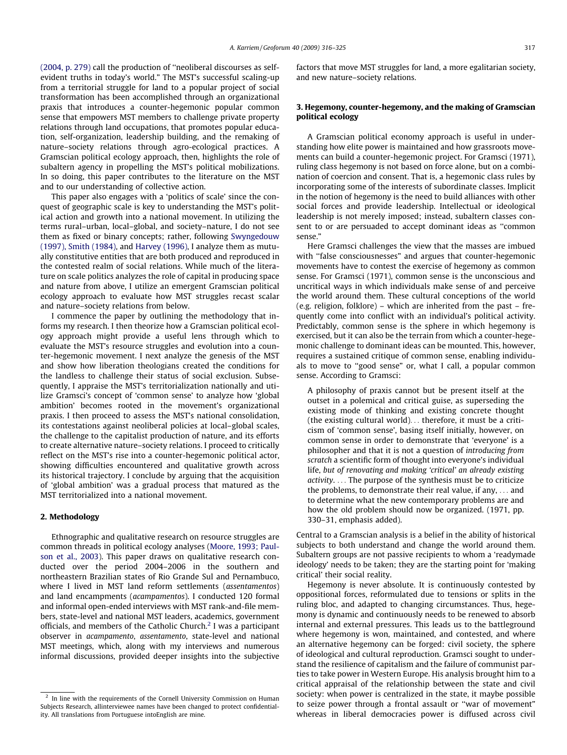[\(2004, p. 279\)](#page-8-0) call the production of ''neoliberal discourses as selfevident truths in today's world." The MST's successful scaling-up from a territorial struggle for land to a popular project of social transformation has been accomplished through an organizational praxis that introduces a counter-hegemonic popular common sense that empowers MST members to challenge private property relations through land occupations, that promotes popular education, self-organization, leadership building, and the remaking of nature–society relations through agro-ecological practices. A Gramscian political ecology approach, then, highlights the role of subaltern agency in propelling the MST's political mobilizations. In so doing, this paper contributes to the literature on the MST and to our understanding of collective action.

This paper also engages with a 'politics of scale' since the conquest of geographic scale is key to understanding the MST's political action and growth into a national movement. In utilizing the terms rural–urban, local–global, and society–nature, I do not see them as fixed or binary concepts; rather, following [Swyngedouw](#page-9-0) [\(1997\), Smith \(1984\),](#page-9-0) and [Harvey \(1996\),](#page-8-0) I analyze them as mutually constitutive entities that are both produced and reproduced in the contested realm of social relations. While much of the literature on scale politics analyzes the role of capital in producing space and nature from above, I utilize an emergent Gramscian political ecology approach to evaluate how MST struggles recast scalar and nature–society relations from below.

I commence the paper by outlining the methodology that informs my research. I then theorize how a Gramscian political ecology approach might provide a useful lens through which to evaluate the MST's resource struggles and evolution into a counter-hegemonic movement. I next analyze the genesis of the MST and show how liberation theologians created the conditions for the landless to challenge their status of social exclusion. Subsequently, I appraise the MST's territorialization nationally and utilize Gramsci's concept of 'common sense' to analyze how 'global ambition' becomes rooted in the movement's organizational praxis. I then proceed to assess the MST's national consolidation, its contestations against neoliberal policies at local–global scales, the challenge to the capitalist production of nature, and its efforts to create alternative nature–society relations. I proceed to critically reflect on the MST's rise into a counter-hegemonic political actor, showing difficulties encountered and qualitative growth across its historical trajectory. I conclude by arguing that the acquisition of 'global ambition' was a gradual process that matured as the MST territorialized into a national movement.

#### 2. Methodology

Ethnographic and qualitative research on resource struggles are common threads in political ecology analyses ([Moore, 1993; Paul](#page-9-0)[son et al., 2003\)](#page-9-0). This paper draws on qualitative research conducted over the period 2004–2006 in the southern and northeastern Brazilian states of Rio Grande Sul and Pernambuco, where I lived in MST land reform settlements (*assentamentos*) and land encampments (acampamentos). I conducted 120 formal and informal open-ended interviews with MST rank-and-file members, state-level and national MST leaders, academics, government officials, and members of the Catholic Church.2 I was a participant observer in acampamento, assentamento, state-level and national MST meetings, which, along with my interviews and numerous informal discussions, provided deeper insights into the subjective factors that move MST struggles for land, a more egalitarian society, and new nature–society relations.

## 3. Hegemony, counter-hegemony, and the making of Gramscian political ecology

A Gramscian political economy approach is useful in understanding how elite power is maintained and how grassroots movements can build a counter-hegemonic project. For Gramsci (1971), ruling class hegemony is not based on force alone, but on a combination of coercion and consent. That is, a hegemonic class rules by incorporating some of the interests of subordinate classes. Implicit in the notion of hegemony is the need to build alliances with other social forces and provide leadership. Intellectual or ideological leadership is not merely imposed; instead, subaltern classes consent to or are persuaded to accept dominant ideas as ''common sense."

Here Gramsci challenges the view that the masses are imbued with "false consciousnesses" and argues that counter-hegemonic movements have to contest the exercise of hegemony as common sense. For Gramsci (1971), common sense is the unconscious and uncritical ways in which individuals make sense of and perceive the world around them. These cultural conceptions of the world (e.g. religion, folklore) – which are inherited from the past – frequently come into conflict with an individual's political activity. Predictably, common sense is the sphere in which hegemony is exercised, but it can also be the terrain from which a counter-hegemonic challenge to dominant ideas can be mounted. This, however, requires a sustained critique of common sense, enabling individuals to move to ''good sense" or, what I call, a popular common sense. According to Gramsci:

A philosophy of praxis cannot but be present itself at the outset in a polemical and critical guise, as superseding the existing mode of thinking and existing concrete thought (the existing cultural world)... therefore, it must be a criticism of 'common sense', basing itself initially, however, on common sense in order to demonstrate that 'everyone' is a philosopher and that it is not a question of introducing from scratch a scientific form of thought into everyone's individual life, but of renovating and making 'critical' an already existing activity. ... The purpose of the synthesis must be to criticize the problems, to demonstrate their real value, if any, ... and to determine what the new contemporary problems are and how the old problem should now be organized. (1971, pp. 330–31, emphasis added).

Central to a Gramscian analysis is a belief in the ability of historical subjects to both understand and change the world around them. Subaltern groups are not passive recipients to whom a 'readymade ideology' needs to be taken; they are the starting point for 'making critical' their social reality.

Hegemony is never absolute. It is continuously contested by oppositional forces, reformulated due to tensions or splits in the ruling bloc, and adapted to changing circumstances. Thus, hegemony is dynamic and continuously needs to be renewed to absorb internal and external pressures. This leads us to the battleground where hegemony is won, maintained, and contested, and where an alternative hegemony can be forged: civil society, the sphere of ideological and cultural reproduction. Gramsci sought to understand the resilience of capitalism and the failure of communist parties to take power in Western Europe. His analysis brought him to a critical appraisal of the relationship between the state and civil society: when power is centralized in the state, it maybe possible to seize power through a frontal assault or ''war of movement" whereas in liberal democracies power is diffused across civil

 $2$  In line with the requirements of the Cornell University Commission on Human Subjects Research, allinterviewee names have been changed to protect confidentiality. All translations from Portuguese intoEnglish are mine.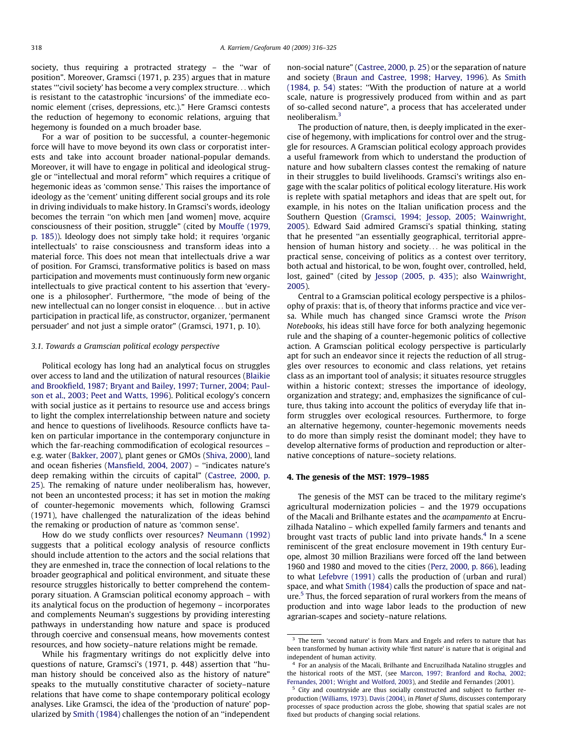society, thus requiring a protracted strategy – the ''war of position". Moreover, Gramsci (1971, p. 235) argues that in mature states '''civil society' has become a very complex structure... which is resistant to the catastrophic 'incursions' of the immediate economic element (crises, depressions, etc.)." Here Gramsci contests the reduction of hegemony to economic relations, arguing that hegemony is founded on a much broader base.

For a war of position to be successful, a counter-hegemonic force will have to move beyond its own class or corporatist interests and take into account broader national-popular demands. Moreover, it will have to engage in political and ideological struggle or ''intellectual and moral reform" which requires a critique of hegemonic ideas as 'common sense.' This raises the importance of ideology as the 'cement' uniting different social groups and its role in driving individuals to make history. In Gramsci's words, ideology becomes the terrain ''on which men [and women] move, acquire consciousness of their position, struggle" (cited by [Mouffe \(1979,](#page-9-0) [p. 185\)\)](#page-9-0). Ideology does not simply take hold; it requires 'organic intellectuals' to raise consciousness and transform ideas into a material force. This does not mean that intellectuals drive a war of position. For Gramsci, transformative politics is based on mass participation and movements must continuously form new organic intellectuals to give practical content to his assertion that 'everyone is a philosopher'. Furthermore, ''the mode of being of the new intellectual can no longer consist in eloquence... but in active participation in practical life, as constructor, organizer, 'permanent persuader' and not just a simple orator" (Gramsci, 1971, p. 10).

#### 3.1. Towards a Gramscian political ecology perspective

Political ecology has long had an analytical focus on struggles over access to land and the utilization of natural resources [\(Blaikie](#page-8-0) [and Brookfield, 1987; Bryant and Bailey, 1997; Turner, 2004; Paul](#page-8-0)[son et al., 2003; Peet and Watts, 1996\)](#page-8-0). Political ecology's concern with social justice as it pertains to resource use and access brings to light the complex interrelationship between nature and society and hence to questions of livelihoods. Resource conflicts have taken on particular importance in the contemporary conjuncture in which the far-reaching commodification of ecological resources – e.g. water [\(Bakker, 2007](#page-8-0)), plant genes or GMOs [\(Shiva, 2000\)](#page-9-0), land and ocean fisheries [\(Mansfield, 2004, 2007](#page-8-0)) – ''indicates nature's deep remaking within the circuits of capital" ([Castree, 2000, p.](#page-8-0) [25](#page-8-0)). The remaking of nature under neoliberalism has, however, not been an uncontested process; it has set in motion the making of counter-hegemonic movements which, following Gramsci (1971), have challenged the naturalization of the ideas behind the remaking or production of nature as 'common sense'.

How do we study conflicts over resources? [Neumann \(1992\)](#page-9-0) suggests that a political ecology analysis of resource conflicts should include attention to the actors and the social relations that they are enmeshed in, trace the connection of local relations to the broader geographical and political environment, and situate these resource struggles historically to better comprehend the contemporary situation. A Gramscian political economy approach – with its analytical focus on the production of hegemony – incorporates and complements Neuman's suggestions by providing interesting pathways in understanding how nature and space is produced through coercive and consensual means, how movements contest resources, and how society–nature relations might be remade.

While his fragmentary writings do not explicitly delve into questions of nature, Gramsci's (1971, p. 448) assertion that ''human history should be conceived also as the history of nature" speaks to the mutually constitutive character of society–nature relations that have come to shape contemporary political ecology analyses. Like Gramsci, the idea of the 'production of nature' popularized by [Smith \(1984\)](#page-9-0) challenges the notion of an ''independent non-social nature" ([Castree, 2000, p. 25](#page-8-0)) or the separation of nature and society [\(Braun and Castree, 1998; Harvey, 1996\)](#page-8-0). As [Smith](#page-9-0) [\(1984, p. 54\)](#page-9-0) states: ''With the production of nature at a world scale, nature is progressively produced from within and as part of so-called second nature", a process that has accelerated under neoliberalism.<sup>3</sup>

The production of nature, then, is deeply implicated in the exercise of hegemony, with implications for control over and the struggle for resources. A Gramscian political ecology approach provides a useful framework from which to understand the production of nature and how subaltern classes contest the remaking of nature in their struggles to build livelihoods. Gramsci's writings also engage with the scalar politics of political ecology literature. His work is replete with spatial metaphors and ideas that are spelt out, for example, in his notes on the Italian unification process and the Southern Question [\(Gramsci, 1994; Jessop, 2005; Wainwright,](#page-8-0) [2005\)](#page-8-0). Edward Said admired Gramsci's spatial thinking, stating that he presented ''an essentially geographical, territorial apprehension of human history and society... he was political in the practical sense, conceiving of politics as a contest over territory, both actual and historical, to be won, fought over, controlled, held, lost, gained" (cited by [Jessop \(2005, p. 435\);](#page-8-0) also [Wainwright,](#page-9-0) [2005\)](#page-9-0).

Central to a Gramscian political ecology perspective is a philosophy of praxis: that is, of theory that informs practice and vice versa. While much has changed since Gramsci wrote the Prison Notebooks, his ideas still have force for both analyzing hegemonic rule and the shaping of a counter-hegemonic politics of collective action. A Gramscian political ecology perspective is particularly apt for such an endeavor since it rejects the reduction of all struggles over resources to economic and class relations, yet retains class as an important tool of analysis; it situates resource struggles within a historic context; stresses the importance of ideology, organization and strategy; and, emphasizes the significance of culture, thus taking into account the politics of everyday life that inform struggles over ecological resources. Furthermore, to forge an alternative hegemony, counter-hegemonic movements needs to do more than simply resist the dominant model; they have to develop alternative forms of production and reproduction or alternative conceptions of nature–society relations.

#### 4. The genesis of the MST: 1979–1985

The genesis of the MST can be traced to the military regime's agricultural modernization policies – and the 1979 occupations of the Macali and Brilhante estates and the acampamento at Encruzilhada Natalino – which expelled family farmers and tenants and brought vast tracts of public land into private hands. $4$  In a scene reminiscent of the great enclosure movement in 19th century Europe, almost 30 million Brazilians were forced off the land between 1960 and 1980 and moved to the cities ([Perz, 2000, p. 866\)](#page-9-0), leading to what [Lefebvre \(1991\)](#page-8-0) calls the production of (urban and rural) space, and what [Smith \(1984\)](#page-9-0) calls the production of space and nature.<sup>5</sup> Thus, the forced separation of rural workers from the means of production and into wage labor leads to the production of new agrarian-scapes and society–nature relations.

<sup>&</sup>lt;sup>3</sup> The term 'second nature' is from Marx and Engels and refers to nature that has been transformed by human activity while 'first nature' is nature that is original and independent of human activity.

 $4$  For an analysis of the Macali, Brilhante and Encruzilhada Natalino struggles and the historical roots of the MST, (see [Marcon, 1997; Branford and Rocha, 2002;](#page-8-0) [Fernandes, 2001; Wright and Wolford, 2003](#page-8-0)), and Stedile and Fernandes (2001).

 $5$  City and countryside are thus socially constructed and subject to further reproduction [\(Williams, 1973\)](#page-9-0). [Davis \(2004\),](#page-8-0) in Planet of Slums, discusses contemporary processes of space production across the globe, showing that spatial scales are not fixed but products of changing social relations.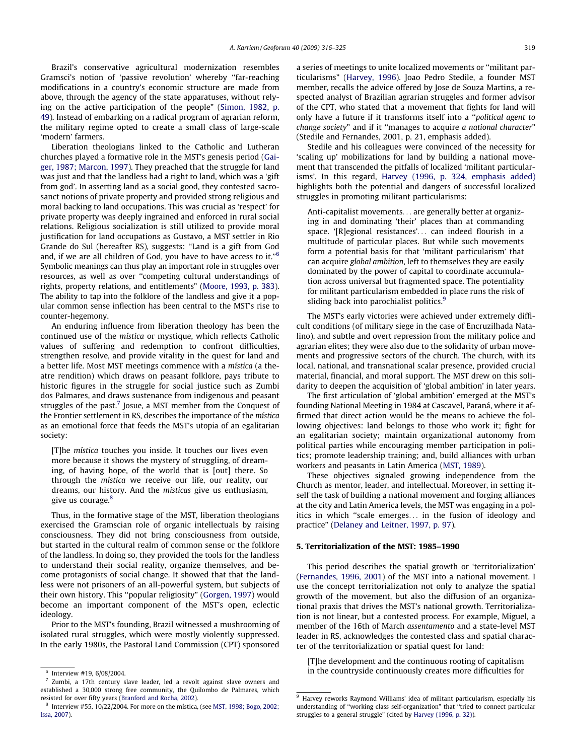Brazil's conservative agricultural modernization resembles Gramsci's notion of 'passive revolution' whereby ''far-reaching modifications in a country's economic structure are made from above, through the agency of the state apparatuses, without relying on the active participation of the people" ([Simon, 1982, p.](#page-9-0) [49](#page-9-0)). Instead of embarking on a radical program of agrarian reform, the military regime opted to create a small class of large-scale 'modern' farmers.

Liberation theologians linked to the Catholic and Lutheran churches played a formative role in the MST's genesis period ([Gai](#page-8-0)[ger, 1987; Marcon, 1997\)](#page-8-0). They preached that the struggle for land was just and that the landless had a right to land, which was a 'gift from god'. In asserting land as a social good, they contested sacrosanct notions of private property and provided strong religious and moral backing to land occupations. This was crucial as 'respect' for private property was deeply ingrained and enforced in rural social relations. Religious socialization is still utilized to provide moral justification for land occupations as Gustavo, a MST settler in Rio Grande do Sul (hereafter RS), suggests: ''Land is a gift from God and, if we are all children of God, you have to have access to it."<sup>6</sup> Symbolic meanings can thus play an important role in struggles over resources, as well as over ''competing cultural understandings of rights, property relations, and entitlements" [\(Moore, 1993, p. 383\)](#page-9-0). The ability to tap into the folklore of the landless and give it a popular common sense inflection has been central to the MST's rise to counter-hegemony.

An enduring influence from liberation theology has been the continued use of the mística or mystique, which reflects Catholic values of suffering and redemption to confront difficulties, strengthen resolve, and provide vitality in the quest for land and a better life. Most MST meetings commence with a mística (a theatre rendition) which draws on peasant folklore, pays tribute to historic figures in the struggle for social justice such as Zumbi dos Palmares, and draws sustenance from indigenous and peasant struggles of the past.<sup>7</sup> Josue, a MST member from the Conquest of the Frontier settlement in RS, describes the importance of the mística as an emotional force that feeds the MST's utopia of an egalitarian society:

[T]he mística touches you inside. It touches our lives even more because it shows the mystery of struggling, of dreaming, of having hope, of the world that is [out] there. So through the mística we receive our life, our reality, our dreams, our history. And the místicas give us enthusiasm, give us courage.<sup>8</sup>

Thus, in the formative stage of the MST, liberation theologians exercised the Gramscian role of organic intellectuals by raising consciousness. They did not bring consciousness from outside, but started in the cultural realm of common sense or the folklore of the landless. In doing so, they provided the tools for the landless to understand their social reality, organize themselves, and become protagonists of social change. It showed that that the landless were not prisoners of an all-powerful system, but subjects of their own history. This ''popular religiosity" ([Gorgen, 1997](#page-8-0)) would become an important component of the MST's open, eclectic ideology.

Prior to the MST's founding, Brazil witnessed a mushrooming of isolated rural struggles, which were mostly violently suppressed. In the early 1980s, the Pastoral Land Commission (CPT) sponsored

a series of meetings to unite localized movements or ''militant particularisms" [\(Harvey, 1996](#page-8-0)). Joao Pedro Stedile, a founder MST member, recalls the advice offered by Jose de Souza Martins, a respected analyst of Brazilian agrarian struggles and former advisor of the CPT, who stated that a movement that fights for land will only have a future if it transforms itself into a ''political agent to change society" and if it ''manages to acquire a national character" (Stedile and Fernandes, 2001, p. 21, emphasis added).

Stedile and his colleagues were convinced of the necessity for 'scaling up' mobilizations for land by building a national movement that transcended the pitfalls of localized 'militant particularisms'. In this regard, [Harvey \(1996, p. 324, emphasis added\)](#page-8-0) highlights both the potential and dangers of successful localized struggles in promoting militant particularisms:

Anti-capitalist movements... are generally better at organizing in and dominating 'their' places than at commanding space. '[R]egional resistances'... can indeed flourish in a multitude of particular places. But while such movements form a potential basis for that 'militant particularism' that can acquire global ambition, left to themselves they are easily dominated by the power of capital to coordinate accumulation across universal but fragmented space. The potentiality for militant particularism embedded in place runs the risk of sliding back into parochialist politics.<sup>9</sup>

The MST's early victories were achieved under extremely difficult conditions (of military siege in the case of Encruzilhada Natalino), and subtle and overt repression from the military police and agrarian elites; they were also due to the solidarity of urban movements and progressive sectors of the church. The church, with its local, national, and transnational scalar presence, provided crucial material, financial, and moral support. The MST drew on this solidarity to deepen the acquisition of 'global ambition' in later years.

The first articulation of 'global ambition' emerged at the MST's founding National Meeting in 1984 at Cascavel, Paraná, where it affirmed that direct action would be the means to achieve the following objectives: land belongs to those who work it; fight for an egalitarian society; maintain organizational autonomy from political parties while encouraging member participation in politics; promote leadership training; and, build alliances with urban workers and peasants in Latin America [\(MST, 1989\)](#page-9-0).

These objectives signaled growing independence from the Church as mentor, leader, and intellectual. Moreover, in setting itself the task of building a national movement and forging alliances at the city and Latin America levels, the MST was engaging in a politics in which ''scale emerges... in the fusion of ideology and practice" ([Delaney and Leitner, 1997, p. 97](#page-8-0)).

## 5. Territorialization of the MST: 1985–1990

This period describes the spatial growth or 'territorialization' ([Fernandes, 1996, 2001](#page-8-0)) of the MST into a national movement. I use the concept territorialization not only to analyze the spatial growth of the movement, but also the diffusion of an organizational praxis that drives the MST's national growth. Territorialization is not linear, but a contested process. For example, Miguel, a member of the 16th of March assentamento and a state-level MST leader in RS, acknowledges the contested class and spatial character of the territorialization or spatial quest for land:

[T]he development and the continuous rooting of capitalism  $\frac{6}{1}$  interview #19, 6/08/2004.<br>
<sup>6</sup> Interview #19, 6/08/2004.<br>
<sup>7</sup> Zumbi a 17th century slave leader led a revolt against slave owners and

Zumbi, a 17th century slave leader, led a revolt against slave owners and established a 30,000 strong free community, the Quilombo de Palmares, which resisted for over fifty years ([Branford and Rocha, 2002\)](#page-8-0).

 $8$  Interview #55, 10/22/2004. For more on the mística, (see [MST, 1998; Bogo, 2002;](#page-9-0) [Issa, 2007\)](#page-9-0).

 $9$  Harvey reworks Raymond Williams' idea of militant particularism, especially his understanding of ''working class self-organization" that ''tried to connect particular struggles to a general struggle" (cited by [Harvey \(1996, p. 32\)](#page-8-0)).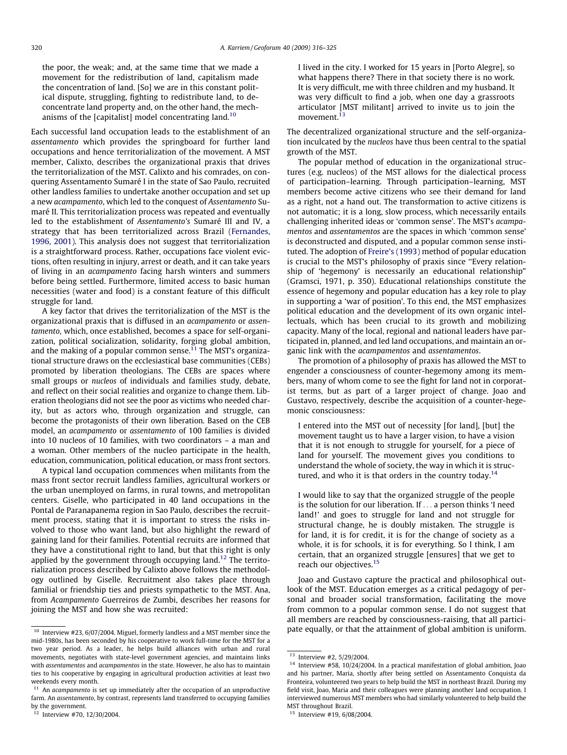the poor, the weak; and, at the same time that we made a movement for the redistribution of land, capitalism made the concentration of land. [So] we are in this constant political dispute, struggling, fighting to redistribute land, to deconcentrate land property and, on the other hand, the mechanisms of the [capitalist] model concentrating land.<sup>10</sup>

Each successful land occupation leads to the establishment of an assentamento which provides the springboard for further land occupations and hence territorialization of the movement. A MST member, Calixto, describes the organizational praxis that drives the territorialization of the MST. Calixto and his comrades, on conquering Assentamento Sumaré I in the state of Sao Paulo, recruited other landless families to undertake another occupation and set up a new acampamento, which led to the conquest of Assentamento Sumaré II. This territorialization process was repeated and eventually led to the establishment of Assentamento's Sumaré III and IV, a strategy that has been territorialized across Brazil [\(Fernandes,](#page-8-0) [1996, 2001\)](#page-8-0). This analysis does not suggest that territorialization is a straightforward process. Rather, occupations face violent evictions, often resulting in injury, arrest or death, and it can take years of living in an acampamento facing harsh winters and summers before being settled. Furthermore, limited access to basic human necessities (water and food) is a constant feature of this difficult struggle for land.

A key factor that drives the territorialization of the MST is the organizational praxis that is diffused in an acampamento or assentamento, which, once established, becomes a space for self-organization, political socialization, solidarity, forging global ambition, and the making of a popular common sense.<sup> $11$ </sup> The MST's organizational structure draws on the ecclesiastical base communities (CEBs) promoted by liberation theologians. The CEBs are spaces where small groups or nucleos of individuals and families study, debate, and reflect on their social realities and organize to change them. Liberation theologians did not see the poor as victims who needed charity, but as actors who, through organization and struggle, can become the protagonists of their own liberation. Based on the CEB model, an acampamento or assentamento of 100 families is divided into 10 nucleos of 10 families, with two coordinators – a man and a woman. Other members of the nucleo participate in the health, education, communication, political education, or mass front sectors.

A typical land occupation commences when militants from the mass front sector recruit landless families, agricultural workers or the urban unemployed on farms, in rural towns, and metropolitan centers. Giselle, who participated in 40 land occupations in the Pontal de Paranapanema region in Sao Paulo, describes the recruitment process, stating that it is important to stress the risks involved to those who want land, but also highlight the reward of gaining land for their families. Potential recruits are informed that they have a constitutional right to land, but that this right is only applied by the government through occupying land.<sup>12</sup> The territorialization process described by Calixto above follows the methodology outlined by Giselle. Recruitment also takes place through familial or friendship ties and priests sympathetic to the MST. Ana, from Acampamento Guerreiros de Zumbi, describes her reasons for joining the MST and how she was recruited:

I lived in the city. I worked for 15 years in [Porto Alegre], so what happens there? There in that society there is no work. It is very difficult, me with three children and my husband. It was very difficult to find a job, when one day a grassroots articulator [MST militant] arrived to invite us to join the movement.<sup>13</sup>

The decentralized organizational structure and the self-organization inculcated by the nucleos have thus been central to the spatial growth of the MST.

The popular method of education in the organizational structures (e.g. nucleos) of the MST allows for the dialectical process of participation–learning. Through participation–learning, MST members become active citizens who see their demand for land as a right, not a hand out. The transformation to active citizens is not automatic; it is a long, slow process, which necessarily entails challenging inherited ideas or 'common sense'. The MST's acampamentos and assentamentos are the spaces in which 'common sense' is deconstructed and disputed, and a popular common sense instituted. The adoption of [Freire's \(1993\)](#page-8-0) method of popular education is crucial to the MST's philosophy of praxis since ''Every relationship of 'hegemony' is necessarily an educational relationship" (Gramsci, 1971, p. 350). Educational relationships constitute the essence of hegemony and popular education has a key role to play in supporting a 'war of position'. To this end, the MST emphasizes political education and the development of its own organic intellectuals, which has been crucial to its growth and mobilizing capacity. Many of the local, regional and national leaders have participated in, planned, and led land occupations, and maintain an organic link with the acampamentos and assentamentos.

The promotion of a philosophy of praxis has allowed the MST to engender a consciousness of counter-hegemony among its members, many of whom come to see the fight for land not in corporatist terms, but as part of a larger project of change. Joao and Gustavo, respectively, describe the acquisition of a counter-hegemonic consciousness:

I entered into the MST out of necessity [for land], [but] the movement taught us to have a larger vision, to have a vision that it is not enough to struggle for yourself, for a piece of land for yourself. The movement gives you conditions to understand the whole of society, the way in which it is structured, and who it is that orders in the country today.<sup>14</sup>

I would like to say that the organized struggle of the people is the solution for our liberation. If ... a person thinks 'I need land!' and goes to struggle for land and not struggle for structural change, he is doubly mistaken. The struggle is for land, it is for credit, it is for the change of society as a whole, it is for schools, it is for everything. So I think, I am certain, that an organized struggle [ensures] that we get to reach our objectives.<sup>15</sup>

Joao and Gustavo capture the practical and philosophical outlook of the MST. Education emerges as a critical pedagogy of personal and broader social transformation, facilitating the move from common to a popular common sense. I do not suggest that all members are reached by consciousness-raising, that all partici-

 $\frac{10}{10}$  Interview #23, 6/07/2004. Miguel, formerly landless and a MST member since the pate equally, or that the attainment of global ambition is uniform. mid-1980s, has been seconded by his cooperative to work full-time for the MST for a two year period. As a leader, he helps build alliances with urban and rural movements, negotiates with state-level government agencies, and maintains links with assentamentos and acampamentos in the state. However, he also has to maintain ties to his cooperative by engaging in agricultural production activities at least two weekends every month.

An acampamento is set up immediately after the occupation of an unproductive farm. An assentamento, by contrast, represents land transferred to occupying families by the government.

<sup>12</sup> Interview #70, 12/30/2004.

<sup>13</sup> Interview #2, 5/29/2004.

 $^{14}\,$  Interview #58, 10/24/2004. In a practical manifestation of global ambition, Joao and his partner, Maria, shortly after being settled on Assentamento Conquista da Fronteira, volunteered two years to help build the MST in northeast Brazil. During my field visit, Joao, Maria and their colleagues were planning another land occupation. I interviewed numerous MST members who had similarly volunteered to help build the MST throughout Brazil.

<sup>15</sup> Interview #19, 6/08/2004.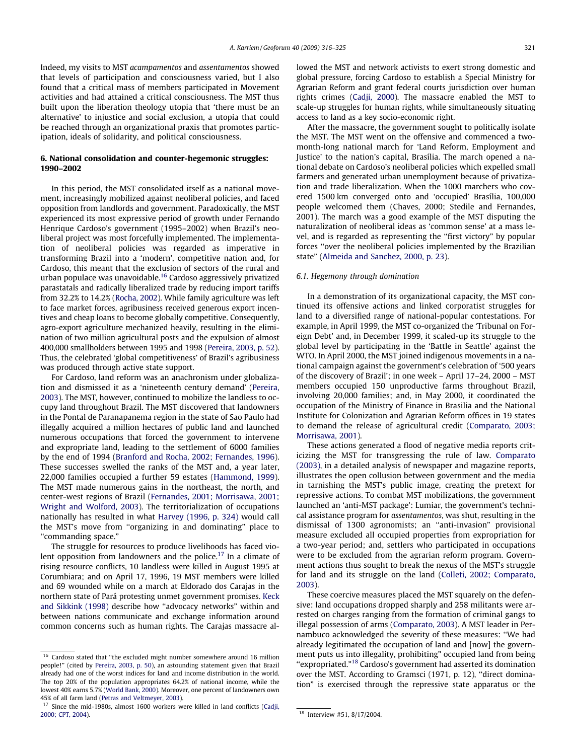Indeed, my visits to MST acampamentos and assentamentos showed that levels of participation and consciousness varied, but I also found that a critical mass of members participated in Movement activities and had attained a critical consciousness. The MST thus built upon the liberation theology utopia that 'there must be an alternative' to injustice and social exclusion, a utopia that could be reached through an organizational praxis that promotes participation, ideals of solidarity, and political consciousness.

## 6. National consolidation and counter-hegemonic struggles: 1990–2002

In this period, the MST consolidated itself as a national movement, increasingly mobilized against neoliberal policies, and faced opposition from landlords and government. Paradoxically, the MST experienced its most expressive period of growth under Fernando Henrique Cardoso's government (1995–2002) when Brazil's neoliberal project was most forcefully implemented. The implementation of neoliberal policies was regarded as imperative in transforming Brazil into a 'modern', competitive nation and, for Cardoso, this meant that the exclusion of sectors of the rural and urban populace was unavoidable.16 Cardoso aggressively privatized parastatals and radically liberalized trade by reducing import tariffs from 32.2% to 14.2% [\(Rocha, 2002\)](#page-9-0). While family agriculture was left to face market forces, agribusiness received generous export incentives and cheap loans to become globally competitive. Consequently, agro-export agriculture mechanized heavily, resulting in the elimination of two million agricultural posts and the expulsion of almost 400,000 smallholders between 1995 and 1998 [\(Pereira, 2003, p. 52\)](#page-9-0). Thus, the celebrated 'global competitiveness' of Brazil's agribusiness was produced through active state support.

For Cardoso, land reform was an anachronism under globalization and dismissed it as a 'nineteenth century demand' [\(Pereira,](#page-9-0) [2003](#page-9-0)). The MST, however, continued to mobilize the landless to occupy land throughout Brazil. The MST discovered that landowners in the Pontal de Paranapanema region in the state of Sao Paulo had illegally acquired a million hectares of public land and launched numerous occupations that forced the government to intervene and expropriate land, leading to the settlement of 6000 families by the end of 1994 ([Branford and Rocha, 2002; Fernandes, 1996\)](#page-8-0). These successes swelled the ranks of the MST and, a year later, 22,000 families occupied a further 59 estates ([Hammond, 1999\)](#page-8-0). The MST made numerous gains in the northeast, the north, and center-west regions of Brazil ([Fernandes, 2001; Morrisawa, 2001;](#page-8-0) [Wright and Wolford, 2003\)](#page-8-0). The territorialization of occupations nationally has resulted in what [Harvey \(1996, p. 324\)](#page-8-0) would call the MST's move from ''organizing in and dominating" place to ''commanding space."

The struggle for resources to produce livelihoods has faced violent opposition from landowners and the police.<sup>17</sup> In a climate of rising resource conflicts, 10 landless were killed in August 1995 at Corumbiara; and on April 17, 1996, 19 MST members were killed and 69 wounded while on a march at Eldorado dos Carajas in the northern state of Pará protesting unmet government promises. [Keck](#page-8-0) [and Sikkink \(1998\)](#page-8-0) describe how ''advocacy networks" within and between nations communicate and exchange information around common concerns such as human rights. The Carajas massacre allowed the MST and network activists to exert strong domestic and global pressure, forcing Cardoso to establish a Special Ministry for Agrarian Reform and grant federal courts jurisdiction over human rights crimes ([Cadji, 2000\)](#page-8-0). The massacre enabled the MST to scale-up struggles for human rights, while simultaneously situating access to land as a key socio-economic right.

After the massacre, the government sought to politically isolate the MST. The MST went on the offensive and commenced a twomonth-long national march for 'Land Reform, Employment and Justice' to the nation's capital, Brasília. The march opened a national debate on Cardoso's neoliberal policies which expelled small farmers and generated urban unemployment because of privatization and trade liberalization. When the 1000 marchers who covered 1500 km converged onto and 'occupied' Brasília, 100,000 people welcomed them (Chaves, 2000; Stedile and Fernandes, 2001). The march was a good example of the MST disputing the naturalization of neoliberal ideas as 'common sense' at a mass level, and is regarded as representing the ''first victory" by popular forces ''over the neoliberal policies implemented by the Brazilian state" [\(Almeida and Sanchez, 2000, p. 23](#page-8-0)).

#### 6.1. Hegemony through domination

In a demonstration of its organizational capacity, the MST continued its offensive actions and linked corporatist struggles for land to a diversified range of national-popular contestations. For example, in April 1999, the MST co-organized the 'Tribunal on Foreign Debt' and, in December 1999, it scaled-up its struggle to the global level by participating in the 'Battle in Seattle' against the WTO. In April 2000, the MST joined indigenous movements in a national campaign against the government's celebration of '500 years of the discovery of Brazil'; in one week – April 17–24, 2000 – MST members occupied 150 unproductive farms throughout Brazil, involving 20,000 families; and, in May 2000, it coordinated the occupation of the Ministry of Finance in Brasilia and the National Institute for Colonization and Agrarian Reform offices in 19 states to demand the release of agricultural credit [\(Comparato, 2003;](#page-8-0) [Morrisawa, 2001](#page-8-0)).

These actions generated a flood of negative media reports criticizing the MST for transgressing the rule of law. [Comparato](#page-8-0) [\(2003\)](#page-8-0), in a detailed analysis of newspaper and magazine reports, illustrates the open collusion between government and the media in tarnishing the MST's public image, creating the pretext for repressive actions. To combat MST mobilizations, the government launched an 'anti-MST package': Lumiar, the government's technical assistance program for assentamentos, was shut, resulting in the dismissal of 1300 agronomists; an ''anti-invasion" provisional measure excluded all occupied properties from expropriation for a two-year period; and, settlers who participated in occupations were to be excluded from the agrarian reform program. Government actions thus sought to break the nexus of the MST's struggle for land and its struggle on the land ([Colleti, 2002; Comparato,](#page-8-0) [2003](#page-8-0)).

These coercive measures placed the MST squarely on the defensive: land occupations dropped sharply and 258 militants were arrested on charges ranging from the formation of criminal gangs to illegal possession of arms [\(Comparato, 2003\)](#page-8-0). A MST leader in Pernambuco acknowledged the severity of these measures: ''We had already legitimated the occupation of land and [now] the government puts us into illegality, prohibiting" occupied land from being "expropriated."<sup>18</sup> Cardoso's government had asserted its domination over the MST. According to Gramsci (1971, p. 12), ''direct domination" is exercised through the repressive state apparatus or the

<sup>&</sup>lt;sup>16</sup> Cardoso stated that "the excluded might number somewhere around 16 million people!" (cited by [Pereira, 2003, p. 50](#page-9-0)), an astounding statement given that Brazil already had one of the worst indices for land and income distribution in the world. The top 20% of the population appropriates 64.2% of national income, while the lowest 40% earns 5.7% [\(World Bank, 2000\)](#page-9-0). Moreover, one percent of landowners own 45% of all farm land ([Petras and Veltmeyer, 2003\)](#page-9-0).

 $17$  Since the mid-1980s, almost 1600 workers were killed in land conflicts [\(Cadji,](#page-8-0) [2000; CPT, 2004\)](#page-8-0). <sup>18</sup> Interview #51, 8/17/2004.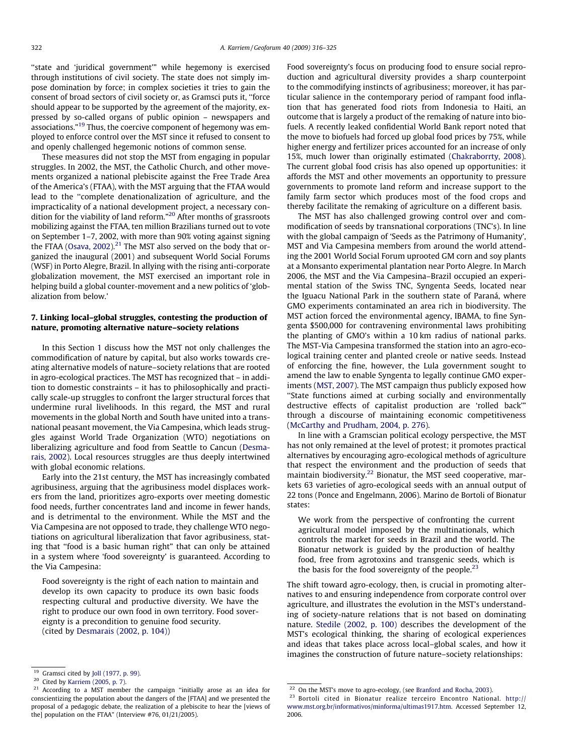''state and 'juridical government'" while hegemony is exercised through institutions of civil society. The state does not simply impose domination by force; in complex societies it tries to gain the consent of broad sectors of civil society or, as Gramsci puts it, ''force should appear to be supported by the agreement of the majority, expressed by so-called organs of public opinion – newspapers and associations."<sup>19</sup> Thus, the coercive component of hegemony was employed to enforce control over the MST since it refused to consent to and openly challenged hegemonic notions of common sense.

These measures did not stop the MST from engaging in popular struggles. In 2002, the MST, the Catholic Church, and other movements organized a national plebiscite against the Free Trade Area of the America's (FTAA), with the MST arguing that the FTAA would lead to the ''complete denationalization of agriculture, and the impracticality of a national development project, a necessary condition for the viability of land reform."<sup>20</sup> After months of grassroots mobilizing against the FTAA, ten million Brazilians turned out to vote on September 1–7, 2002, with more than 90% voting against signing the FTAA ([Osava, 2002](#page-9-0)).<sup>21</sup> The MST also served on the body that organized the inaugural (2001) and subsequent World Social Forums (WSF) in Porto Alegre, Brazil. In allying with the rising anti-corporate globalization movement, the MST exercised an important role in helping build a global counter-movement and a new politics of 'globalization from below.'

## 7. Linking local–global struggles, contesting the production of nature, promoting alternative nature–society relations

In this Section [1](#page-0-0) discuss how the MST not only challenges the commodification of nature by capital, but also works towards creating alternative models of nature–society relations that are rooted in agro-ecological practices. The MST has recognized that – in addition to domestic constraints – it has to philosophically and practically scale-up struggles to confront the larger structural forces that undermine rural livelihoods. In this regard, the MST and rural movements in the global North and South have united into a transnational peasant movement, the Via Campesina, which leads struggles against World Trade Organization (WTO) negotiations on liberalizing agriculture and food from Seattle to Cancun ([Desma](#page-8-0)[rais, 2002](#page-8-0)). Local resources struggles are thus deeply intertwined with global economic relations.

Early into the 21st century, the MST has increasingly combated agribusiness, arguing that the agribusiness model displaces workers from the land, prioritizes agro-exports over meeting domestic food needs, further concentrates land and income in fewer hands, and is detrimental to the environment. While the MST and the Via Campesina are not opposed to trade, they challenge WTO negotiations on agricultural liberalization that favor agribusiness, stating that ''food is a basic human right" that can only be attained in a system where 'food sovereignty' is guaranteed. According to the Via Campesina:

Food sovereignty is the right of each nation to maintain and develop its own capacity to produce its own basic foods respecting cultural and productive diversity. We have the right to produce our own food in own territory. Food sovereignty is a precondition to genuine food security. (cited by [Desmarais \(2002, p. 104\)\)](#page-8-0)

Food sovereignty's focus on producing food to ensure social reproduction and agricultural diversity provides a sharp counterpoint to the commodifying instincts of agribusiness; moreover, it has particular salience in the contemporary period of rampant food inflation that has generated food riots from Indonesia to Haiti, an outcome that is largely a product of the remaking of nature into biofuels. A recently leaked confidential World Bank report noted that the move to biofuels had forced up global food prices by 75%, while higher energy and fertilizer prices accounted for an increase of only 15%, much lower than originally estimated ([Chakraborrty, 2008\)](#page-8-0). The current global food crisis has also opened up opportunities: it affords the MST and other movements an opportunity to pressure governments to promote land reform and increase support to the family farm sector which produces most of the food crops and thereby facilitate the remaking of agriculture on a different basis.

The MST has also challenged growing control over and commodification of seeds by transnational corporations (TNC's). In line with the global campaign of 'Seeds as the Patrimony of Humanity', MST and Via Campesina members from around the world attending the 2001 World Social Forum uprooted GM corn and soy plants at a Monsanto experimental plantation near Porto Alegre. In March 2006, the MST and the Via Campesina–Brazil occupied an experimental station of the Swiss TNC, Syngenta Seeds, located near the Iguacu National Park in the southern state of Paraná, where GMO experiments contaminated an area rich in biodiversity. The MST action forced the environmental agency, IBAMA, to fine Syngenta \$500,000 for contravening environmental laws prohibiting the planting of GMO's within a 10 km radius of national parks. The MST-Via Campesina transformed the station into an agro-ecological training center and planted creole or native seeds. Instead of enforcing the fine, however, the Lula government sought to amend the law to enable Syngenta to legally continue GMO experiments ([MST, 2007](#page-9-0)). The MST campaign thus publicly exposed how ''State functions aimed at curbing socially and environmentally destructive effects of capitalist production are 'rolled back'" through a discourse of maintaining economic competitiveness ([McCarthy and Prudham, 2004, p. 276\)](#page-8-0).

In line with a Gramscian political ecology perspective, the MST has not only remained at the level of protest; it promotes practical alternatives by encouraging agro-ecological methods of agriculture that respect the environment and the production of seeds that maintain biodiversity.<sup>22</sup> Bionatur, the MST seed cooperative, markets 63 varieties of agro-ecological seeds with an annual output of 22 tons (Ponce and Engelmann, 2006). Marino de Bortoli of Bionatur states:

We work from the perspective of confronting the current agricultural model imposed by the multinationals, which controls the market for seeds in Brazil and the world. The Bionatur network is guided by the production of healthy food, free from agrotoxins and transgenic seeds, which is the basis for the food sovereignty of the people. $2<sup>23</sup>$ 

The shift toward agro-ecology, then, is crucial in promoting alternatives to and ensuring independence from corporate control over agriculture, and illustrates the evolution in the MST's understanding of society-nature relations that is not based on dominating nature. [Stedile \(2002, p. 100\)](#page-9-0) describes the development of the MST's ecological thinking, the sharing of ecological experiences and ideas that takes place across local–global scales, and how it imagines the construction of future nature–society relationships:

 $19$  Gramsci cited by [Joll \(1977, p. 99\).](#page-8-0)

<sup>20</sup> Cited by [Karriem \(2005, p. 7\).](#page-8-0)

 $21$  According to a MST member the campaign "initially arose as an idea for conscientizing the population about the dangers of the [FTAA] and we presented the proposal of a pedagogic debate, the realization of a plebiscite to hear the [views of the] population on the FTAA" (Interview #76, 01/21/2005).

 $\overline{a^{22}}$  On the MST's move to agro-ecology, (see [Branford and Rocha, 2003](#page-8-0)).

<sup>23</sup> Bortoli cited in Bionatur realize terceiro Encontro National. [http://](http://www.mst.org.br/informativos/minforma/ultimas1917.htm) [www.mst.org.br/informativos/minforma/ultimas1917.htm](http://www.mst.org.br/informativos/minforma/ultimas1917.htm). Accessed September 12, 2006.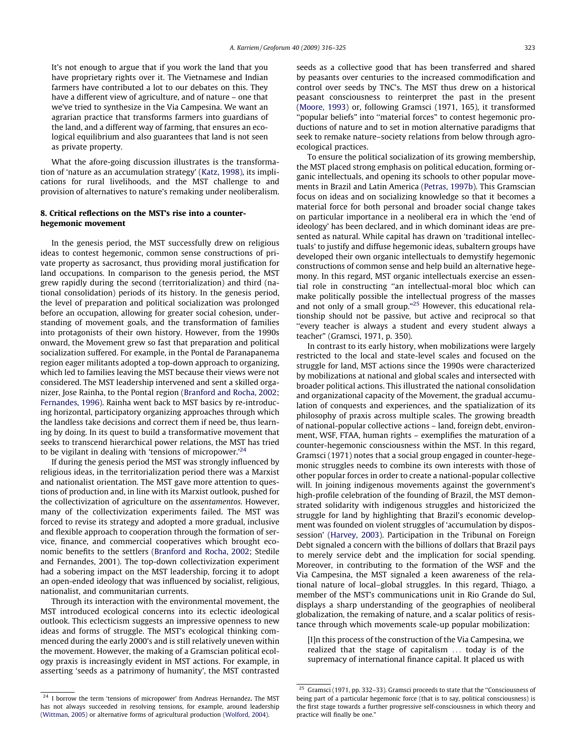It's not enough to argue that if you work the land that you have proprietary rights over it. The Vietnamese and Indian farmers have contributed a lot to our debates on this. They have a different view of agriculture, and of nature – one that we've tried to synthesize in the Via Campesina. We want an agrarian practice that transforms farmers into guardians of the land, and a different way of farming, that ensures an ecological equilibrium and also guarantees that land is not seen as private property.

What the afore-going discussion illustrates is the transformation of 'nature as an accumulation strategy' ([Katz, 1998\),](#page-8-0) its implications for rural livelihoods, and the MST challenge to and provision of alternatives to nature's remaking under neoliberalism.

## 8. Critical reflections on the MST's rise into a counterhegemonic movement

In the genesis period, the MST successfully drew on religious ideas to contest hegemonic, common sense constructions of private property as sacrosanct, thus providing moral justification for land occupations. In comparison to the genesis period, the MST grew rapidly during the second (territorialization) and third (national consolidation) periods of its history. In the genesis period, the level of preparation and political socialization was prolonged before an occupation, allowing for greater social cohesion, understanding of movement goals, and the transformation of families into protagonists of their own history. However, from the 1990s onward, the Movement grew so fast that preparation and political socialization suffered. For example, in the Pontal de Paranapanema region eager militants adopted a top-down approach to organizing, which led to families leaving the MST because their views were not considered. The MST leadership intervened and sent a skilled organizer, Jose Rainha, to the Pontal region [\(Branford and Rocha, 2002;](#page-8-0) [Fernandes, 1996](#page-8-0)). Rainha went back to MST basics by re-introducing horizontal, participatory organizing approaches through which the landless take decisions and correct them if need be, thus learning by doing. In its quest to build a transformative movement that seeks to transcend hierarchical power relations, the MST has tried to be vigilant in dealing with 'tensions of micropower.'<sup>24</sup>

If during the genesis period the MST was strongly influenced by religious ideas, in the territorialization period there was a Marxist and nationalist orientation. The MST gave more attention to questions of production and, in line with its Marxist outlook, pushed for the collectivization of agriculture on the assentamentos. However, many of the collectivization experiments failed. The MST was forced to revise its strategy and adopted a more gradual, inclusive and flexible approach to cooperation through the formation of service, finance, and commercial cooperatives which brought economic benefits to the settlers [\(Branford and Rocha, 2002;](#page-8-0) Stedile and Fernandes, 2001). The top-down collectivization experiment had a sobering impact on the MST leadership, forcing it to adopt an open-ended ideology that was influenced by socialist, religious, nationalist, and communitarian currents.

Through its interaction with the environmental movement, the MST introduced ecological concerns into its eclectic ideological outlook. This eclecticism suggests an impressive openness to new ideas and forms of struggle. The MST's ecological thinking commenced during the early 2000's and is still relatively uneven within the movement. However, the making of a Gramscian political ecology praxis is increasingly evident in MST actions. For example, in asserting 'seeds as a patrimony of humanity', the MST contrasted

 $24$  I borrow the term 'tensions of micropower' from Andreas Hernandez. The MST has not always succeeded in resolving tensions, for example, around leadership ([Wittman, 2005\)](#page-9-0) or alternative forms of agricultural production ([Wolford, 2004](#page-9-0)).

seeds as a collective good that has been transferred and shared by peasants over centuries to the increased commodification and control over seeds by TNC's. The MST thus drew on a historical peasant consciousness to reinterpret the past in the present ([Moore, 1993](#page-9-0)) or, following Gramsci (1971, 165), it transformed ''popular beliefs" into ''material forces" to contest hegemonic productions of nature and to set in motion alternative paradigms that seek to remake nature–society relations from below through agroecological practices.

To ensure the political socialization of its growing membership, the MST placed strong emphasis on political education, forming organic intellectuals, and opening its schools to other popular movements in Brazil and Latin America ([Petras, 1997b\)](#page-9-0). This Gramscian focus on ideas and on socializing knowledge so that it becomes a material force for both personal and broader social change takes on particular importance in a neoliberal era in which the 'end of ideology' has been declared, and in which dominant ideas are presented as natural. While capital has drawn on 'traditional intellectuals' to justify and diffuse hegemonic ideas, subaltern groups have developed their own organic intellectuals to demystify hegemonic constructions of common sense and help build an alternative hegemony. In this regard, MST organic intellectuals exercise an essential role in constructing ''an intellectual-moral bloc which can make politically possible the intellectual progress of the masses and not only of a small group."25 However, this educational relationship should not be passive, but active and reciprocal so that ''every teacher is always a student and every student always a teacher" (Gramsci, 1971, p. 350).

In contrast to its early history, when mobilizations were largely restricted to the local and state-level scales and focused on the struggle for land, MST actions since the 1990s were characterized by mobilizations at national and global scales and intersected with broader political actions. This illustrated the national consolidation and organizational capacity of the Movement, the gradual accumulation of conquests and experiences, and the spatialization of its philosophy of praxis across multiple scales. The growing breadth of national-popular collective actions – land, foreign debt, environment, WSF, FTAA, human rights – exemplifies the maturation of a counter-hegemonic consciousness within the MST. In this regard, Gramsci (1971) notes that a social group engaged in counter-hegemonic struggles needs to combine its own interests with those of other popular forces in order to create a national-popular collective will. In joining indigenous movements against the government's high-profile celebration of the founding of Brazil, the MST demonstrated solidarity with indigenous struggles and historicized the struggle for land by highlighting that Brazil's economic development was founded on violent struggles of 'accumulation by dispossession' [\(Harvey, 2003\)](#page-8-0). Participation in the Tribunal on Foreign Debt signaled a concern with the billions of dollars that Brazil pays to merely service debt and the implication for social spending. Moreover, in contributing to the formation of the WSF and the Via Campesina, the MST signaled a keen awareness of the relational nature of local–global struggles. In this regard, Thiago, a member of the MST's communications unit in Rio Grande do Sul, displays a sharp understanding of the geographies of neoliberal globalization, the remaking of nature, and a scalar politics of resistance through which movements scale-up popular mobilization:

[I]n this process of the construction of the Via Campesina, we realized that the stage of capitalism ... today is of the supremacy of international finance capital. It placed us with

<sup>&</sup>lt;sup>25</sup> Gramsci (1971, pp. 332–33). Gramsci proceeds to state that the "Consciousness of being part of a particular hegemonic force (that is to say, political consciousness) is the first stage towards a further progressive self-consciousness in which theory and practice will finally be one.'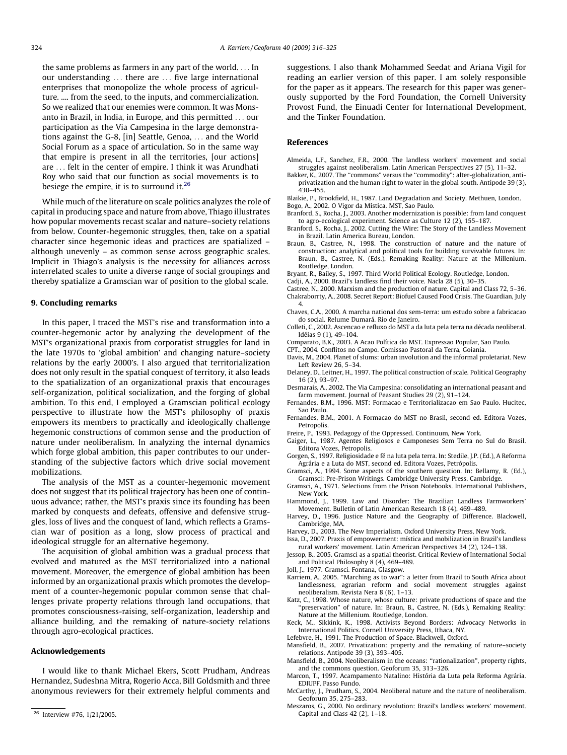<span id="page-8-0"></span>the same problems as farmers in any part of the world. ... In our understanding ... there are ... five large international enterprises that monopolize the whole process of agriculture. .... from the seed, to the inputs, and commercialization. So we realized that our enemies were common. It was Monsanto in Brazil, in India, in Europe, and this permitted ... our participation as the Via Campesina in the large demonstrations against the G-8, [in] Seattle, Genoa, ... and the World Social Forum as a space of articulation. So in the same way that empire is present in all the territories, [our actions] are ... felt in the center of empire. I think it was Arundhati Roy who said that our function as social movements is to besiege the empire, it is to surround it.<sup>26</sup>

While much of the literature on scale politics analyzes the role of capital in producing space and nature from above, Thiago illustrates how popular movements recast scalar and nature–society relations from below. Counter-hegemonic struggles, then, take on a spatial character since hegemonic ideas and practices are spatialized – although unevenly – as common sense across geographic scales. Implicit in Thiago's analysis is the necessity for alliances across interrelated scales to unite a diverse range of social groupings and thereby spatialize a Gramscian war of position to the global scale.

#### 9. Concluding remarks

In this paper, I traced the MST's rise and transformation into a counter-hegemonic actor by analyzing the development of the MST's organizational praxis from corporatist struggles for land in the late 1970s to 'global ambition' and changing nature–society relations by the early 2000's. I also argued that territorialization does not only result in the spatial conquest of territory, it also leads to the spatialization of an organizational praxis that encourages self-organization, political socialization, and the forging of global ambition. To this end, I employed a Gramscian political ecology perspective to illustrate how the MST's philosophy of praxis empowers its members to practically and ideologically challenge hegemonic constructions of common sense and the production of nature under neoliberalism. In analyzing the internal dynamics which forge global ambition, this paper contributes to our understanding of the subjective factors which drive social movement mobilizations.

The analysis of the MST as a counter-hegemonic movement does not suggest that its political trajectory has been one of continuous advance; rather, the MST's praxis since its founding has been marked by conquests and defeats, offensive and defensive struggles, loss of lives and the conquest of land, which reflects a Gramscian war of position as a long, slow process of practical and ideological struggle for an alternative hegemony.

The acquisition of global ambition was a gradual process that evolved and matured as the MST territorialized into a national movement. Moreover, the emergence of global ambition has been informed by an organizational praxis which promotes the development of a counter-hegemonic popular common sense that challenges private property relations through land occupations, that promotes consciousness-raising, self-organization, leadership and alliance building, and the remaking of nature-society relations through agro-ecological practices.

## Acknowledgements

I would like to thank Michael Ekers, Scott Prudham, Andreas Hernandez, Sudeshna Mitra, Rogerio Acca, Bill Goldsmith and three anonymous reviewers for their extremely helpful comments and suggestions. I also thank Mohammed Seedat and Ariana Vigil for reading an earlier version of this paper. I am solely responsible for the paper as it appears. The research for this paper was generously supported by the Ford Foundation, the Cornell University Provost Fund, the Einuadi Center for International Development, and the Tinker Foundation.

#### References

Almeida, L.F., Sanchez, F.R., 2000. The landless workers' movement and social struggles against neoliberalism. Latin American Perspectives 27 (5), 11–32.

- Bakker, K., 2007. The "commons" versus the "commodity": alter-globalization, antiprivatization and the human right to water in the global south. Antipode 39 (3),  $430 - 455$
- Blaikie, P., Brookfield, H., 1987. Land Degradation and Society. Methuen, London. Bogo, A., 2002. O Vigor da Mística. MST, Sao Paulo.
- Branford, S., Rocha, J., 2003. Another modernization is possible: from land conquest to agro-ecological experiment. Science as Culture 12 (2), 155–187.
- Branford, S., Rocha, J., 2002. Cutting the Wire: The Story of the Landless Movement in Brazil. Latin America Bureau, London.
- Braun, B., Castree, N., 1998. The construction of nature and the nature of construction: analytical and political tools for building survivable futures. In: Braun, B., Castree, N. (Eds.), Remaking Reality: Nature at the Millenium. Routledge, London.
- Bryant, R., Bailey, S., 1997. Third World Political Ecology. Routledge, London.
- Cadji, A., 2000. Brazil's landless find their voice. Nacla 28 (5), 30–35.
- Castree, N., 2000. Marxism and the production of nature. Capital and Class 72, 5–36. Chakraborrty, A., 2008. Secret Report: Biofuel Caused Food Crisis. The Guardian, July 4.
- Chaves, C.A., 2000. A marcha national dos sem-terra: um estudo sobre a fabricacao do social. Relume Dumará. Rio de Janeiro.
- Colleti, C., 2002. Ascencao e refluxo do MST a da luta pela terra na década neoliberal. Idéias 9 (1), 49–104.
- Comparato, B.K., 2003. A Acao Política do MST. Expressao Popular, Sao Paulo.
- CPT., 2004. Conflitos no Campo. Comissao Pastoral da Terra, Goiania.
- Davis, M., 2004. Planet of slums: urban involution and the informal proletariat. New Left Review 26, 5–34.
- Delaney, D., Leitner, H., 1997. The political construction of scale. Political Geography 16 (2), 93–97.
- Desmarais, A., 2002. The Via Campesina: consolidating an international peasant and farm movement. Journal of Peasant Studies 29 (2), 91–124.
- Fernandes, B.M., 1996. MST: Formacao e Territorializacao em Sao Paulo. Hucitec, Sao Paulo.
- Fernandes, B.M., 2001. A Formacao do MST no Brasil, second ed. Editora Vozes, Petropolis.
- Freire, P., 1993. Pedagogy of the Oppressed. Continuum, New York.
- Gaiger, L., 1987. Agentes Religiosos e Camponeses Sem Terra no Sul do Brasil. Editora Vozes, Petropolis.
- Gorgen, S., 1997. Religiosidade e fé na luta pela terra. In: Stedile, J.P. (Ed.), A Reforma Agrária e a Luta do MST, second ed. Editora Vozes, Petrópolis.
- Gramsci, A., 1994. Some aspects of the southern question. In: Bellamy, R. (Ed.), Gramsci: Pre-Prison Writings. Cambridge University Press, Cambridge.
- Gramsci, A., 1971. Selections from the Prison Notebooks. International Publishers, New York.
- Hammond, J., 1999. Law and Disorder: The Brazilian Landless Farmworkers' Movement. Bulletin of Latin American Research 18 (4), 469–489.
- Harvey, D., 1996. Justice Nature and the Geography of Difference. Blackwell, Cambridge, MA.
- Harvey, D., 2003. The New Imperialism. Oxford University Press, New York.
- Issa, D., 2007. Praxis of empowerment: mística and mobilization in Brazil's landless rural workers' movement. Latin American Perspectives 34 (2), 124–138.
- Jessop, B., 2005. Gramsci as a spatial theorist. Critical Review of International Social and Political Philosophy 8 (4), 469–489.
- Joll, J., 1977. Gramsci. Fontana, Glasgow.
- Karriem, A., 2005. ''Marching as to war": a letter from Brazil to South Africa about landlessness, agrarian reform and social movement struggles against neoliberalism. Revista Nera 8 (6), 1–13.
- Katz, C., 1998. Whose nature, whose culture: private productions of space and the ''preservation" of nature. In: Braun, B., Castree, N. (Eds.), Remaking Reality: Nature at the Millenium. Routledge, London.
- Keck, M., Sikkink, K., 1998. Activists Beyond Borders: Advocacy Networks in International Politics. Cornell University Press, Ithaca, NY.
- Lefebvre, H., 1991. The Production of Space. Blackwell, Oxford.
- Mansfield, B., 2007. Privatization: property and the remaking of nature–society relations. Antipode 39 (3), 393–405.
- Mansfield, B., 2004. Neoliberalism in the oceans: ''rationalization'', property rights, and the commons question. Geoforum 35, 313–326.
- Marcon, T., 1997. Acampamento Natalino: História da Luta pela Reforma Agrária. EDIUPF, Passo Fundo.
- McCarthy, J., Prudham, S., 2004. Neoliberal nature and the nature of neoliberalism. Geoforum 35, 275–283.
- Meszaros, G., 2000. No ordinary revolution: Brazil's landless workers' movement.  $\frac{26}{4}$  Interview #76, 1/21/2005. Capital and Class 42 (2), 1-18.